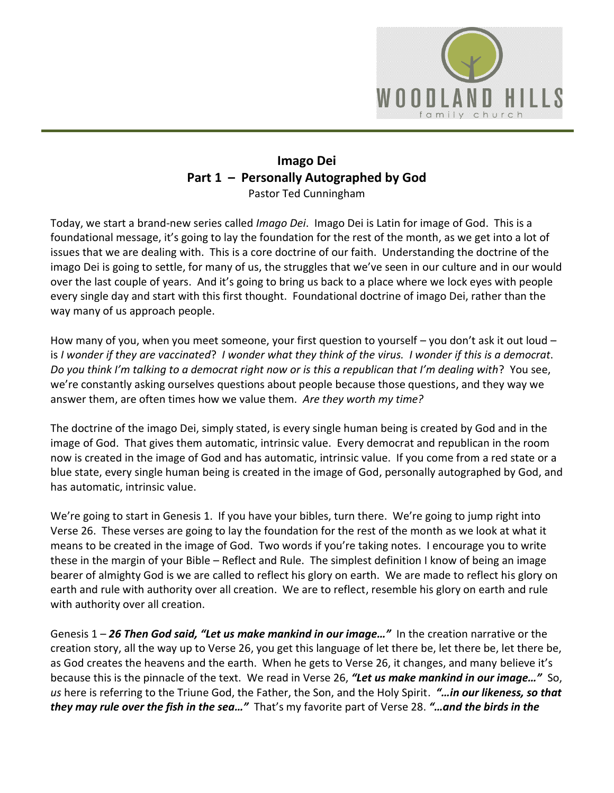

## **Imago Dei Part 1 – Personally Autographed by God** Pastor Ted Cunningham

Today, we start a brand-new series called *Imago Dei*. Imago Dei is Latin for image of God. This is a foundational message, it's going to lay the foundation for the rest of the month, as we get into a lot of issues that we are dealing with. This is a core doctrine of our faith. Understanding the doctrine of the imago Dei is going to settle, for many of us, the struggles that we've seen in our culture and in our would over the last couple of years. And it's going to bring us back to a place where we lock eyes with people every single day and start with this first thought. Foundational doctrine of imago Dei, rather than the way many of us approach people.

How many of you, when you meet someone, your first question to yourself – you don't ask it out loud – is *I wonder if they are vaccinated*? *I wonder what they think of the virus. I wonder if this is a democrat*. *Do you think I'm talking to a democrat right now or is this a republican that I'm dealing with*? You see, we're constantly asking ourselves questions about people because those questions, and they way we answer them, are often times how we value them. *Are they worth my time?*

The doctrine of the imago Dei, simply stated, is every single human being is created by God and in the image of God. That gives them automatic, intrinsic value. Every democrat and republican in the room now is created in the image of God and has automatic, intrinsic value. If you come from a red state or a blue state, every single human being is created in the image of God, personally autographed by God, and has automatic, intrinsic value.

We're going to start in Genesis 1. If you have your bibles, turn there. We're going to jump right into Verse 26. These verses are going to lay the foundation for the rest of the month as we look at what it means to be created in the image of God. Two words if you're taking notes. I encourage you to write these in the margin of your Bible – Reflect and Rule. The simplest definition I know of being an image bearer of almighty God is we are called to reflect his glory on earth. We are made to reflect his glory on earth and rule with authority over all creation. We are to reflect, resemble his glory on earth and rule with authority over all creation.

Genesis 1 – *26 Then God said, "Let us make mankind in our image…"* In the creation narrative or the creation story, all the way up to Verse 26, you get this language of let there be, let there be, let there be, as God creates the heavens and the earth. When he gets to Verse 26, it changes, and many believe it's because this is the pinnacle of the text. We read in Verse 26, *"Let us make mankind in our image…"* So, *us* here is referring to the Triune God, the Father, the Son, and the Holy Spirit. *"…in our likeness, so that they may rule over the fish in the sea…"* That's my favorite part of Verse 28. *"…and the birds in the*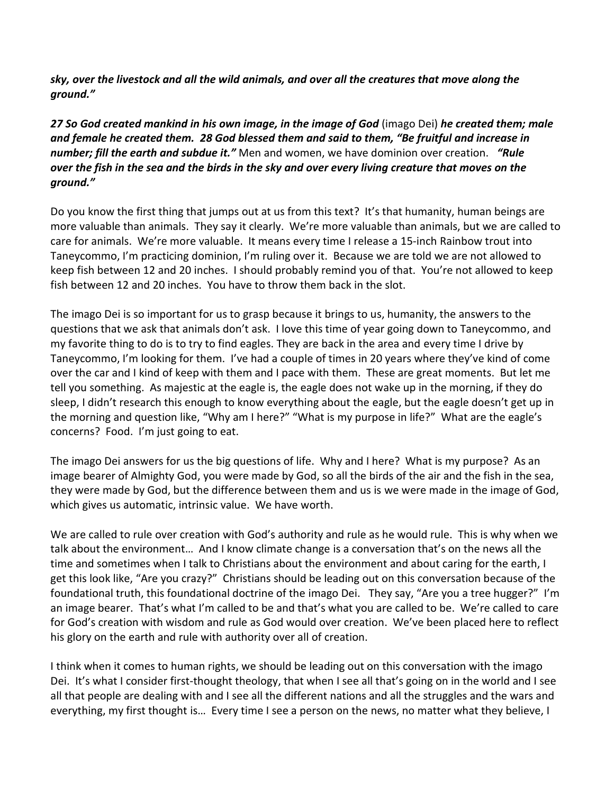*sky, over the livestock and all the wild animals, and over all the creatures that move along the ground."*

*27 So God created mankind in his own image, in the image of God* (imago Dei) *he created them; male and female he created them. 28 God blessed them and said to them, "Be fruitful and increase in number; fill the earth and subdue it."* Men and women, we have dominion over creation. *"Rule over the fish in the sea and the birds in the sky and over every living creature that moves on the ground."*

Do you know the first thing that jumps out at us from this text? It's that humanity, human beings are more valuable than animals. They say it clearly. We're more valuable than animals, but we are called to care for animals. We're more valuable. It means every time I release a 15-inch Rainbow trout into Taneycommo, I'm practicing dominion, I'm ruling over it. Because we are told we are not allowed to keep fish between 12 and 20 inches. I should probably remind you of that. You're not allowed to keep fish between 12 and 20 inches. You have to throw them back in the slot.

The imago Dei is so important for us to grasp because it brings to us, humanity, the answers to the questions that we ask that animals don't ask. I love this time of year going down to Taneycommo, and my favorite thing to do is to try to find eagles. They are back in the area and every time I drive by Taneycommo, I'm looking for them. I've had a couple of times in 20 years where they've kind of come over the car and I kind of keep with them and I pace with them. These are great moments. But let me tell you something. As majestic at the eagle is, the eagle does not wake up in the morning, if they do sleep, I didn't research this enough to know everything about the eagle, but the eagle doesn't get up in the morning and question like, "Why am I here?" "What is my purpose in life?" What are the eagle's concerns? Food. I'm just going to eat.

The imago Dei answers for us the big questions of life. Why and I here? What is my purpose? As an image bearer of Almighty God, you were made by God, so all the birds of the air and the fish in the sea, they were made by God, but the difference between them and us is we were made in the image of God, which gives us automatic, intrinsic value. We have worth.

We are called to rule over creation with God's authority and rule as he would rule. This is why when we talk about the environment… And I know climate change is a conversation that's on the news all the time and sometimes when I talk to Christians about the environment and about caring for the earth, I get this look like, "Are you crazy?" Christians should be leading out on this conversation because of the foundational truth, this foundational doctrine of the imago Dei. They say, "Are you a tree hugger?" I'm an image bearer. That's what I'm called to be and that's what you are called to be. We're called to care for God's creation with wisdom and rule as God would over creation. We've been placed here to reflect his glory on the earth and rule with authority over all of creation.

I think when it comes to human rights, we should be leading out on this conversation with the imago Dei. It's what I consider first-thought theology, that when I see all that's going on in the world and I see all that people are dealing with and I see all the different nations and all the struggles and the wars and everything, my first thought is… Every time I see a person on the news, no matter what they believe, I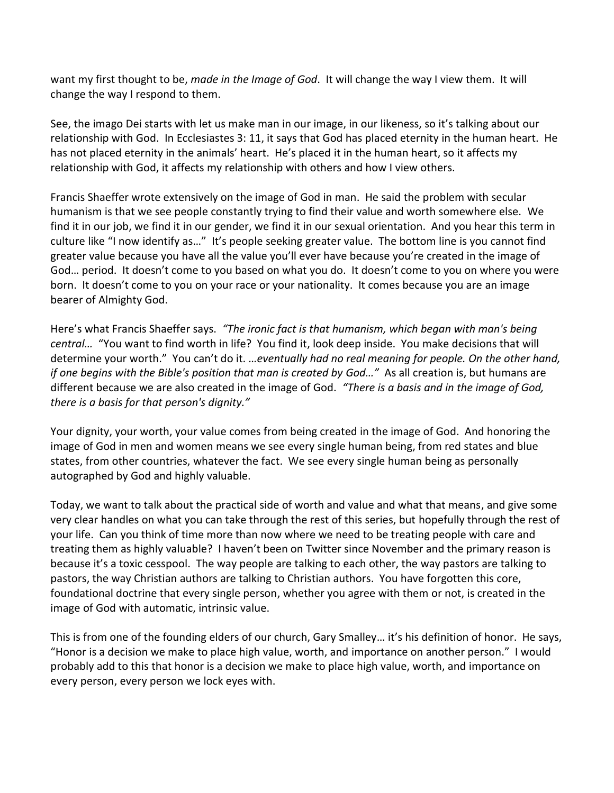want my first thought to be, *made in the Image of God*. It will change the way I view them. It will change the way I respond to them.

See, the imago Dei starts with let us make man in our image, in our likeness, so it's talking about our relationship with God. In Ecclesiastes 3: 11, it says that God has placed eternity in the human heart. He has not placed eternity in the animals' heart. He's placed it in the human heart, so it affects my relationship with God, it affects my relationship with others and how I view others.

Francis Shaeffer wrote extensively on the image of God in man. He said the problem with secular humanism is that we see people constantly trying to find their value and worth somewhere else. We find it in our job, we find it in our gender, we find it in our sexual orientation. And you hear this term in culture like "I now identify as…" It's people seeking greater value. The bottom line is you cannot find greater value because you have all the value you'll ever have because you're created in the image of God… period. It doesn't come to you based on what you do. It doesn't come to you on where you were born. It doesn't come to you on your race or your nationality. It comes because you are an image bearer of Almighty God.

Here's what Francis Shaeffer says. *"The ironic fact is that humanism, which began with man's being central…* "You want to find worth in life? You find it, look deep inside. You make decisions that will determine your worth." You can't do it. *…eventually had no real meaning for people. On the other hand, if one begins with the Bible's position that man is created by God…"* As all creation is, but humans are different because we are also created in the image of God. *"There is a basis and in the image of God, there is a basis for that person's dignity."*

Your dignity, your worth, your value comes from being created in the image of God. And honoring the image of God in men and women means we see every single human being, from red states and blue states, from other countries, whatever the fact. We see every single human being as personally autographed by God and highly valuable.

Today, we want to talk about the practical side of worth and value and what that means, and give some very clear handles on what you can take through the rest of this series, but hopefully through the rest of your life. Can you think of time more than now where we need to be treating people with care and treating them as highly valuable? I haven't been on Twitter since November and the primary reason is because it's a toxic cesspool. The way people are talking to each other, the way pastors are talking to pastors, the way Christian authors are talking to Christian authors. You have forgotten this core, foundational doctrine that every single person, whether you agree with them or not, is created in the image of God with automatic, intrinsic value.

This is from one of the founding elders of our church, Gary Smalley… it's his definition of honor. He says, "Honor is a decision we make to place high value, worth, and importance on another person." I would probably add to this that honor is a decision we make to place high value, worth, and importance on every person, every person we lock eyes with.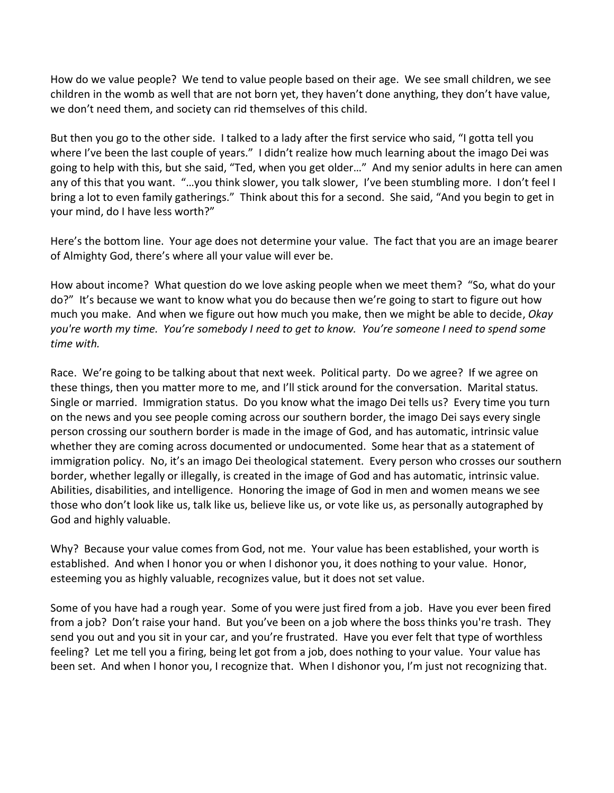How do we value people? We tend to value people based on their age. We see small children, we see children in the womb as well that are not born yet, they haven't done anything, they don't have value, we don't need them, and society can rid themselves of this child.

But then you go to the other side. I talked to a lady after the first service who said, "I gotta tell you where I've been the last couple of years." I didn't realize how much learning about the imago Dei was going to help with this, but she said, "Ted, when you get older…" And my senior adults in here can amen any of this that you want. "...you think slower, you talk slower, I've been stumbling more. I don't feel I bring a lot to even family gatherings." Think about this for a second. She said, "And you begin to get in your mind, do I have less worth?"

Here's the bottom line. Your age does not determine your value. The fact that you are an image bearer of Almighty God, there's where all your value will ever be.

How about income? What question do we love asking people when we meet them? "So, what do your do?" It's because we want to know what you do because then we're going to start to figure out how much you make. And when we figure out how much you make, then we might be able to decide, *Okay you're worth my time. You're somebody I need to get to know. You're someone I need to spend some time with.* 

Race. We're going to be talking about that next week. Political party. Do we agree? If we agree on these things, then you matter more to me, and I'll stick around for the conversation. Marital status. Single or married. Immigration status. Do you know what the imago Dei tells us? Every time you turn on the news and you see people coming across our southern border, the imago Dei says every single person crossing our southern border is made in the image of God, and has automatic, intrinsic value whether they are coming across documented or undocumented. Some hear that as a statement of immigration policy. No, it's an imago Dei theological statement. Every person who crosses our southern border, whether legally or illegally, is created in the image of God and has automatic, intrinsic value. Abilities, disabilities, and intelligence. Honoring the image of God in men and women means we see those who don't look like us, talk like us, believe like us, or vote like us, as personally autographed by God and highly valuable.

Why? Because your value comes from God, not me. Your value has been established, your worth is established. And when I honor you or when I dishonor you, it does nothing to your value. Honor, esteeming you as highly valuable, recognizes value, but it does not set value.

Some of you have had a rough year. Some of you were just fired from a job. Have you ever been fired from a job? Don't raise your hand. But you've been on a job where the boss thinks you're trash. They send you out and you sit in your car, and you're frustrated. Have you ever felt that type of worthless feeling? Let me tell you a firing, being let got from a job, does nothing to your value. Your value has been set. And when I honor you, I recognize that. When I dishonor you, I'm just not recognizing that.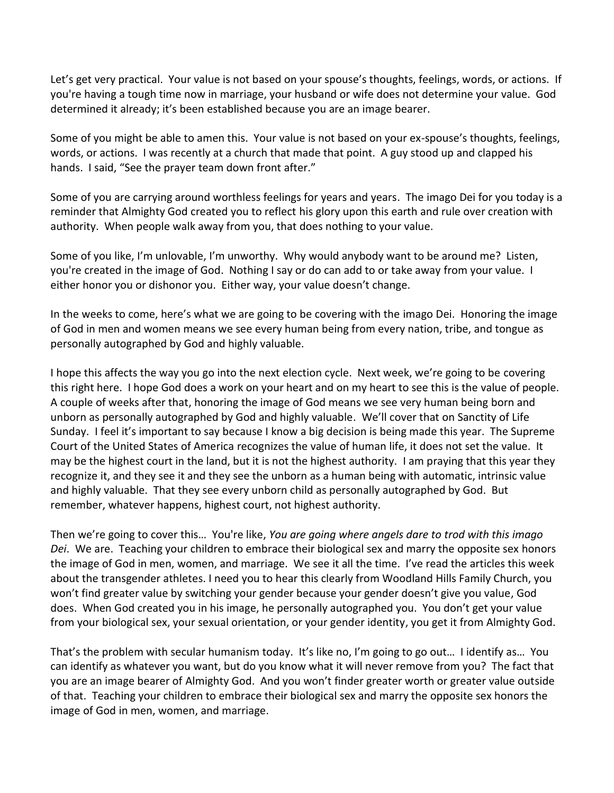Let's get very practical. Your value is not based on your spouse's thoughts, feelings, words, or actions. If you're having a tough time now in marriage, your husband or wife does not determine your value. God determined it already; it's been established because you are an image bearer.

Some of you might be able to amen this. Your value is not based on your ex-spouse's thoughts, feelings, words, or actions. I was recently at a church that made that point. A guy stood up and clapped his hands. I said, "See the prayer team down front after."

Some of you are carrying around worthless feelings for years and years. The imago Dei for you today is a reminder that Almighty God created you to reflect his glory upon this earth and rule over creation with authority. When people walk away from you, that does nothing to your value.

Some of you like, I'm unlovable, I'm unworthy. Why would anybody want to be around me? Listen, you're created in the image of God. Nothing I say or do can add to or take away from your value. I either honor you or dishonor you. Either way, your value doesn't change.

In the weeks to come, here's what we are going to be covering with the imago Dei. Honoring the image of God in men and women means we see every human being from every nation, tribe, and tongue as personally autographed by God and highly valuable.

I hope this affects the way you go into the next election cycle. Next week, we're going to be covering this right here. I hope God does a work on your heart and on my heart to see this is the value of people. A couple of weeks after that, honoring the image of God means we see very human being born and unborn as personally autographed by God and highly valuable. We'll cover that on Sanctity of Life Sunday. I feel it's important to say because I know a big decision is being made this year. The Supreme Court of the United States of America recognizes the value of human life, it does not set the value. It may be the highest court in the land, but it is not the highest authority. I am praying that this year they recognize it, and they see it and they see the unborn as a human being with automatic, intrinsic value and highly valuable. That they see every unborn child as personally autographed by God. But remember, whatever happens, highest court, not highest authority.

Then we're going to cover this… You're like, *You are going where angels dare to trod with this imago Dei*. We are. Teaching your children to embrace their biological sex and marry the opposite sex honors the image of God in men, women, and marriage. We see it all the time. I've read the articles this week about the transgender athletes. I need you to hear this clearly from Woodland Hills Family Church, you won't find greater value by switching your gender because your gender doesn't give you value, God does. When God created you in his image, he personally autographed you. You don't get your value from your biological sex, your sexual orientation, or your gender identity, you get it from Almighty God.

That's the problem with secular humanism today. It's like no, I'm going to go out… I identify as… You can identify as whatever you want, but do you know what it will never remove from you? The fact that you are an image bearer of Almighty God. And you won't finder greater worth or greater value outside of that. Teaching your children to embrace their biological sex and marry the opposite sex honors the image of God in men, women, and marriage.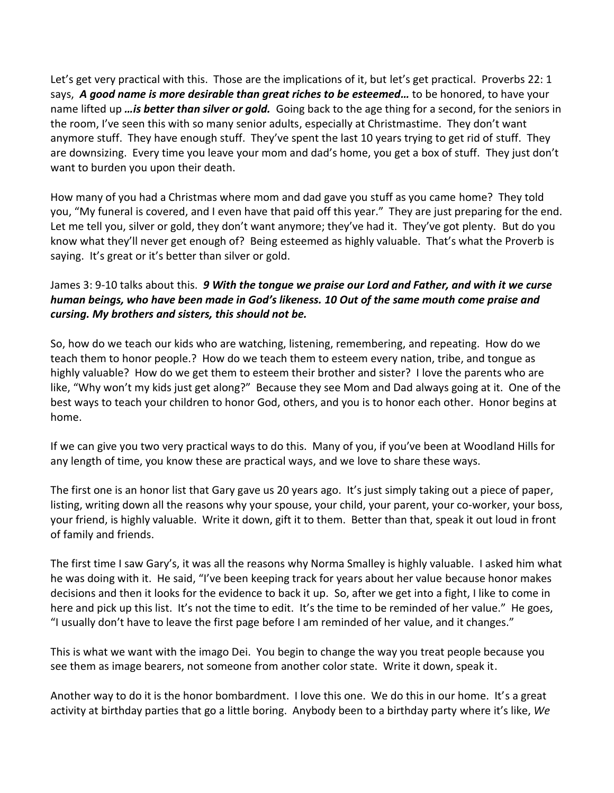Let's get very practical with this. Those are the implications of it, but let's get practical. Proverbs 22: 1 says, *A good name is more desirable than great riches to be esteemed…* to be honored, to have your name lifted up *…is better than silver or gold.* Going back to the age thing for a second, for the seniors in the room, I've seen this with so many senior adults, especially at Christmastime. They don't want anymore stuff. They have enough stuff. They've spent the last 10 years trying to get rid of stuff. They are downsizing. Every time you leave your mom and dad's home, you get a box of stuff. They just don't want to burden you upon their death.

How many of you had a Christmas where mom and dad gave you stuff as you came home? They told you, "My funeral is covered, and I even have that paid off this year." They are just preparing for the end. Let me tell you, silver or gold, they don't want anymore; they've had it. They've got plenty. But do you know what they'll never get enough of? Being esteemed as highly valuable. That's what the Proverb is saying. It's great or it's better than silver or gold.

## James 3: 9-10 talks about this. *9 With the tongue we praise our Lord and Father, and with it we curse human beings, who have been made in God's likeness. 10 Out of the same mouth come praise and cursing. My brothers and sisters, this should not be.*

So, how do we teach our kids who are watching, listening, remembering, and repeating. How do we teach them to honor people.? How do we teach them to esteem every nation, tribe, and tongue as highly valuable? How do we get them to esteem their brother and sister? I love the parents who are like, "Why won't my kids just get along?" Because they see Mom and Dad always going at it. One of the best ways to teach your children to honor God, others, and you is to honor each other. Honor begins at home.

If we can give you two very practical ways to do this. Many of you, if you've been at Woodland Hills for any length of time, you know these are practical ways, and we love to share these ways.

The first one is an honor list that Gary gave us 20 years ago. It's just simply taking out a piece of paper, listing, writing down all the reasons why your spouse, your child, your parent, your co-worker, your boss, your friend, is highly valuable. Write it down, gift it to them. Better than that, speak it out loud in front of family and friends.

The first time I saw Gary's, it was all the reasons why Norma Smalley is highly valuable. I asked him what he was doing with it. He said, "I've been keeping track for years about her value because honor makes decisions and then it looks for the evidence to back it up. So, after we get into a fight, I like to come in here and pick up this list. It's not the time to edit. It's the time to be reminded of her value." He goes, "I usually don't have to leave the first page before I am reminded of her value, and it changes."

This is what we want with the imago Dei. You begin to change the way you treat people because you see them as image bearers, not someone from another color state. Write it down, speak it.

Another way to do it is the honor bombardment. I love this one. We do this in our home. It's a great activity at birthday parties that go a little boring. Anybody been to a birthday party where it's like, *We*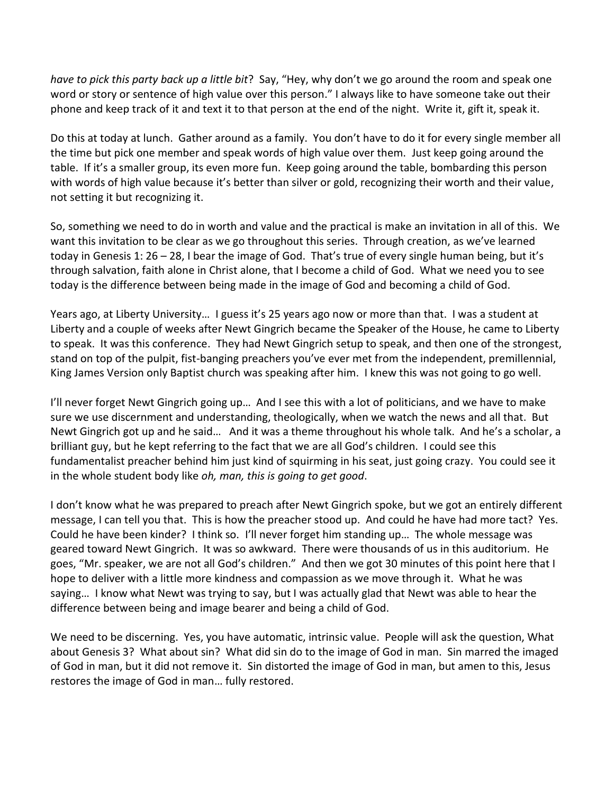*have to pick this party back up a little bit*? Say, "Hey, why don't we go around the room and speak one word or story or sentence of high value over this person." I always like to have someone take out their phone and keep track of it and text it to that person at the end of the night. Write it, gift it, speak it.

Do this at today at lunch. Gather around as a family. You don't have to do it for every single member all the time but pick one member and speak words of high value over them. Just keep going around the table. If it's a smaller group, its even more fun. Keep going around the table, bombarding this person with words of high value because it's better than silver or gold, recognizing their worth and their value, not setting it but recognizing it.

So, something we need to do in worth and value and the practical is make an invitation in all of this. We want this invitation to be clear as we go throughout this series. Through creation, as we've learned today in Genesis 1: 26 – 28, I bear the image of God. That's true of every single human being, but it's through salvation, faith alone in Christ alone, that I become a child of God. What we need you to see today is the difference between being made in the image of God and becoming a child of God.

Years ago, at Liberty University… I guess it's 25 years ago now or more than that. I was a student at Liberty and a couple of weeks after Newt Gingrich became the Speaker of the House, he came to Liberty to speak. It was this conference. They had Newt Gingrich setup to speak, and then one of the strongest, stand on top of the pulpit, fist-banging preachers you've ever met from the independent, premillennial, King James Version only Baptist church was speaking after him. I knew this was not going to go well.

I'll never forget Newt Gingrich going up… And I see this with a lot of politicians, and we have to make sure we use discernment and understanding, theologically, when we watch the news and all that. But Newt Gingrich got up and he said… And it was a theme throughout his whole talk. And he's a scholar, a brilliant guy, but he kept referring to the fact that we are all God's children. I could see this fundamentalist preacher behind him just kind of squirming in his seat, just going crazy. You could see it in the whole student body like *oh, man, this is going to get good*.

I don't know what he was prepared to preach after Newt Gingrich spoke, but we got an entirely different message, I can tell you that. This is how the preacher stood up. And could he have had more tact? Yes. Could he have been kinder? I think so. I'll never forget him standing up… The whole message was geared toward Newt Gingrich. It was so awkward. There were thousands of us in this auditorium. He goes, "Mr. speaker, we are not all God's children." And then we got 30 minutes of this point here that I hope to deliver with a little more kindness and compassion as we move through it. What he was saying… I know what Newt was trying to say, but I was actually glad that Newt was able to hear the difference between being and image bearer and being a child of God.

We need to be discerning. Yes, you have automatic, intrinsic value. People will ask the question, What about Genesis 3? What about sin? What did sin do to the image of God in man. Sin marred the imaged of God in man, but it did not remove it. Sin distorted the image of God in man, but amen to this, Jesus restores the image of God in man… fully restored.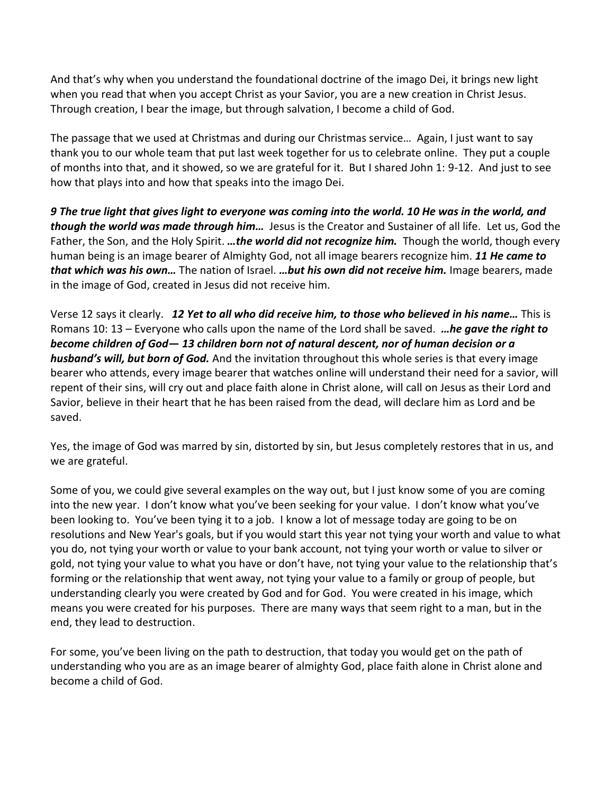And that's why when you understand the foundational doctrine of the imago Dei, it brings new light when you read that when you accept Christ as your Savior, you are a new creation in Christ Jesus. Through creation, I bear the image, but through salvation, I become a child of God.

The passage that we used at Christmas and during our Christmas service… Again, I just want to say thank you to our whole team that put last week together for us to celebrate online. They put a couple of months into that, and it showed, so we are grateful for it. But I shared John 1: 9-12. And just to see how that plays into and how that speaks into the imago Dei.

*9 The true light that gives light to everyone was coming into the world. 10 He was in the world, and though the world was made through him…* Jesus is the Creator and Sustainer of all life. Let us, God the Father, the Son, and the Holy Spirit. *…the world did not recognize him.* Though the world, though every human being is an image bearer of Almighty God, not all image bearers recognize him. *11 He came to that which was his own…* The nation of Israel. *…but his own did not receive him.* Image bearers, made in the image of God, created in Jesus did not receive him.

Verse 12 says it clearly. *12 Yet to all who did receive him, to those who believed in his name…* This is Romans 10: 13 – Everyone who calls upon the name of the Lord shall be saved. *…he gave the right to become children of God— 13 children born not of natural descent, nor of human decision or a husband's will, but born of God.* And the invitation throughout this whole series is that every image bearer who attends, every image bearer that watches online will understand their need for a savior, will repent of their sins, will cry out and place faith alone in Christ alone, will call on Jesus as their Lord and Savior, believe in their heart that he has been raised from the dead, will declare him as Lord and be saved.

Yes, the image of God was marred by sin, distorted by sin, but Jesus completely restores that in us, and we are grateful.

Some of you, we could give several examples on the way out, but I just know some of you are coming into the new year. I don't know what you've been seeking for your value. I don't know what you've been looking to. You've been tying it to a job. I know a lot of message today are going to be on resolutions and New Year's goals, but if you would start this year not tying your worth and value to what you do, not tying your worth or value to your bank account, not tying your worth or value to silver or gold, not tying your value to what you have or don't have, not tying your value to the relationship that's forming or the relationship that went away, not tying your value to a family or group of people, but understanding clearly you were created by God and for God. You were created in his image, which means you were created for his purposes. There are many ways that seem right to a man, but in the end, they lead to destruction.

For some, you've been living on the path to destruction, that today you would get on the path of understanding who you are as an image bearer of almighty God, place faith alone in Christ alone and become a child of God.